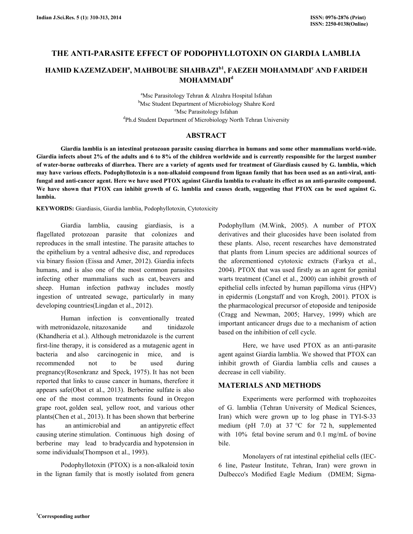# THE ANTI-PARASITE EFFECT OF PODOPHYLLOTOXIN ON GIARDIA LAMBLIA

# HAMID KAZEMZADEHª, MAHBOUBE SHAHBAZI<sup>b1</sup>, FAEZEH MOHAMMADI<sup>c</sup> AND FARIDEH MOHAMMADI<sup>d</sup>

<sup>a</sup>Msc Parasitology Tehran & Alzahra Hospital Isfahan **b**Msc Student Department of Microbiology Shahre Kord <sup>c</sup>Msc Parasitology Isfahan <sup>d</sup>Ph.d Student Department of Microbiology North Tehran University

## ABSTRACT

 Giardia lamblia is an intestinal protozoan parasite causing diarrhea in humans and some other mammalians world-wide. Giardia infects about 2% of the adults and 6 to 8% of the children worldwide and is currently responsible for the largest number of water-borne outbreaks of diarrhea. There are a variety of agents used for treatment of Giardiasis caused by G. lamblia, which may have various effects. Podophyllotoxin is a non-alkaloid compound from lignan family that has been used as an anti-viral, antifungal and anti-cancer agent. Here we have used PTOX against Giardia lamblia to evaluate its effect as an anti-parasite compound. We have shown that PTOX can inhibit growth of G. lamblia and causes death, suggesting that PTOX can be used against G. lambia.

KEYWORDS: Giardiasis, Giardia lamblia, Podophyllotoxin, Cytotoxicity

 Giardia lamblia, causing giardiasis, is a flagellated protozoan parasite that colonizes and reproduces in the small intestine. The parasite attaches to the epithelium by a ventral adhesive disc, and reproduces via binary fission (Eissa and Amer, 2012). Giardia infects humans, and is also one of the most common parasites infecting other mammalians such as cat, beavers and sheep. Human infection pathway includes mostly ingestion of untreated sewage, particularly in many developing countries(Lingdan et al., 2012).

 Human infection is conventionally treated with metronidazole, nitazoxanide and tinidazole (Khandheria et al.). Although metronidazole is the current first-line therapy, it is considered as a mutagenic agent in bacteria and also carcinogenic in mice, and is recommended not to be used during pregnancy(Rosenkranz and Speck, 1975). It has not been reported that links to cause cancer in humans, therefore it appears safe(Obot et al., 2013). Berberine sulfate is also one of the most common treatments found in Oregon grape root, golden seal, yellow root, and various other plants(Chen et al., 2013). It has been shown that berberine has an antimicrobial and an antipyretic effect causing uterine stimulation. Continuous high dosing of berberine may lead to bradycardia and hypotension in some individuals(Thompson et al., 1993).

 Podophyllotoxin (PTOX) is a non-alkaloid toxin in the lignan family that is mostly isolated from genera Podophyllum (M.Wink, 2005). A number of PTOX derivatives and their glucosides have been isolated from these plants. Also, recent researches have demonstrated that plants from Linum species are additional sources of the aforementioned cytotoxic extracts (Farkya et al., 2004). PTOX that was used firstly as an agent for genital warts treatment (Canel et al., 2000) can inhibit growth of epithelial cells infected by human papilloma virus (HPV) in epidermis (Longstaff and von Krogh, 2001). PTOX is the pharmacological precursor of etoposide and teniposide (Cragg and Newman, 2005; Harvey, 1999) which are important anticancer drugs due to a mechanism of action based on the inhibition of cell cycle.

 Here, we have used PTOX as an anti-parasite agent against Giardia lamblia. We showed that PTOX can inhibit growth of Giardia lamblia cells and causes a decrease in cell viability.

### MATERIALS AND METHODS

 Experiments were performed with trophozoites of G. lamblia (Tehran University of Medical Sciences, Iran) which were grown up to log phase in TYI-S-33 medium (pH 7.0) at 37  $^{\circ}$ C for 72 h, supplemented with 10% fetal bovine serum and 0.1 mg/mL of bovine bile.

 Monolayers of rat intestinal epithelial cells (IEC-6 line, Pasteur Institute, Tehran, Iran) were grown in Dulbecco's Modified Eagle Medium (DMEM; Sigma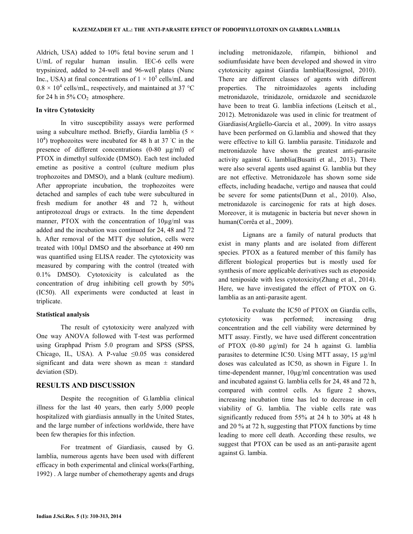Aldrich, USA) added to 10% fetal bovine serum and 1 U/mL of regular human insulin. IEC-6 cells were trypsinized, added to 24-well and 96-well plates (Nunc Inc., USA) at final concentrations of  $1 \times 10^5$  cells/mL and  $0.8 \times 10^4$  cells/mL, respectively, and maintained at 37 °C for 24 h in  $5\%$  CO<sub>2</sub> atmosphere.

#### In vitro Cytotoxicity

 In vitro susceptibility assays were performed using a subculture method. Briefly, Giardia lamblia (5  $\times$ 10<sup>4</sup>) trophozoites were incubated for 48 h at 37 °C in the presence of different concentrations (0-80 µg/ml) of PTOX in dimethyl sulfoxide (DMSO). Each test included emetine as positive a control (culture medium plus trophozoites and DMSO), and a blank (culture medium). After appropriate incubation, the trophozoites were detached and samples of each tube were subcultured in fresh medium for another 48 and 72 h, without antiprotozoal drugs or extracts. In the time dependent manner, PTOX with the concentration of 10µg/ml was added and the incubation was continued for 24, 48 and 72 h. After removal of the MTT dye solution, cells were treated with 100µl DMSO and the absorbance at 490 nm was quantified using ELISA reader. The cytotoxicity was measured by comparing with the control (treated with 0.1% DMSO). Cytotoxicity is calculated as the concentration of drug inhibiting cell growth by 50% (IC50). All experiments were conducted at least in triplicate.

#### Statistical analysis

 The result of cytotoxicity were analyzed with One way ANOVA followed with T-test was performed using Graphpad Prism 5.0 program and SPSS (SPSS, Chicago, IL, USA). A P-value  $\leq 0.05$  was considered significant and data were shown as mean  $\pm$  standard deviation (SD).

### RESULTS AND DISCUSSION

 Despite the recognition of G.lamblia clinical illness for the last 40 years, then early 5,000 people hospitalized with giardiasis annually in the United States, and the large number of infections worldwide, there have been few therapies for this infection.

 For treatment of Giardiasis, caused by G. lamblia, numerous agents have been used with different efficacy in both experimental and clinical works(Farthing, 1992) . A large number of chemotherapy agents and drugs including metronidazole, rifampin, bithionol and sodiumfusidate have been developed and showed in vitro cytotoxicity against Giardia lamblia(Rossignol, 2010). There are different classes of agents with different properties. The nitroimidazoles agents including metronidazole, trinidazole, ornidazole and secnidazole have been to treat G. lamblia infections (Leitsch et al., 2012). Metronidazole was used in clinic for treatment of Giardiasis(Argüello-García et al., 2009). In vitro assays have been performed on G.lamblia and showed that they were effective to kill G. lamblia parasite. Tinidazole and metronidazole have shown the greatest anti-parasite activity against G. lamblia(Busatti et al., 2013). There were also several agents used against G. lamblia but they are not effective. Metronidazole has shown some side effects, including headache, vertigo and nausea that could be severe for some patients(Dunn et al., 2010). Also, metronidazole is carcinogenic for rats at high doses. Moreover, it is mutagenic in bacteria but never shown in human(Corrêa et al., 2009).

 Lignans are a family of natural products that exist in many plants and are isolated from different species. PTOX as a featured member of this family has different biological properties but is mostly used for synthesis of more applicable derivatives such as etoposide and teniposide with less cytotoxicity(Zhang et al., 2014). Here, we have investigated the effect of PTOX on G. lamblia as an anti-parasite agent.

 To evaluate the IC50 of PTOX on Giardia cells, cytotoxicity was performed; increasing drug concentration and the cell viability were determined by MTT assay. Firstly, we have used different concentration of PTOX (0-80 µg/ml) for 24 h against G. lamblia parasites to determine IC50. Using MTT assay, 15 µg/ml doses was calculated as IC50, as shown in Figure 1. In time-dependent manner, 10µg/ml concentration was used and incubated against G. lamblia cells for 24, 48 and 72 h, compared with control cells. As figure 2 shows, increasing incubation time has led to decrease in cell viability of G. lamblia. The viable cells rate was significantly reduced from 55% at 24 h to 30% at 48 h and 20 % at 72 h, suggesting that PTOX functions by time leading to more cell death. According these results, we suggest that PTOX can be used as an anti-parasite agent against G. lambia.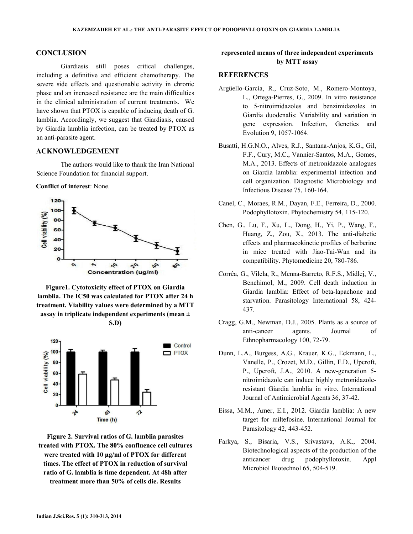#### **CONCLUSION**

 Giardiasis still poses critical challenges, including a definitive and efficient chemotherapy. The severe side effects and questionable activity in chronic phase and an increased resistance are the main difficulties in the clinical administration of current treatments. We have shown that PTOX is capable of inducing death of G. lamblia. Accordingly, we suggest that Giardiasis, caused by Giardia lamblia infection, can be treated by PTOX as an anti-parasite agent.

#### ACKNOWLEDGEMENT

 The authors would like to thank the Iran National Science Foundation for financial support.

Conflict of interest: None.



Figure1. Cytotoxicity effect of PTOX on Giardia lamblia. The IC50 was calculated for PTOX after 24 h treatment. Viability values were determined by a MTT assay in triplicate independent experiments (mean ±





Figure 2. Survival ratios of G. lamblia parasites treated with PTOX. The 80% confluence cell cultures were treated with 10 µg/ml of PTOX for different times. The effect of PTOX in reduction of survival ratio of G. lamblia is time dependent. At 48h after treatment more than 50% of cells die. Results

## represented means of three independent experiments by MTT assay

#### **REFERENCES**

- Argüello-García, R., Cruz-Soto, M., Romero-Montoya, L., Ortega-Pierres, G., 2009. In vitro resistance to 5-nitroimidazoles and benzimidazoles in Giardia duodenalis: Variability and variation in gene expression. Infection, Genetics and Evolution 9, 1057-1064.
- Busatti, H.G.N.O., Alves, R.J., Santana-Anjos, K.G., Gil, F.F., Cury, M.C., Vannier-Santos, M.A., Gomes, M.A., 2013. Effects of metronidazole analogues on Giardia lamblia: experimental infection and cell organization. Diagnostic Microbiology and Infectious Disease 75, 160-164.
- Canel, C., Moraes, R.M., Dayan, F.E., Ferreira, D., 2000. Podophyllotoxin. Phytochemistry 54, 115-120.
- Chen, G., Lu, F., Xu, L., Dong, H., Yi, P., Wang, F., Huang, Z., Zou, X., 2013. The anti-diabetic effects and pharmacokinetic profiles of berberine in mice treated with Jiao-Tai-Wan and its compatibility. Phytomedicine 20, 780-786.
- Corrêa, G., Vilela, R., Menna-Barreto, R.F.S., Midlej, V., Benchimol, M., 2009. Cell death induction in Giardia lamblia: Effect of beta-lapachone and starvation. Parasitology International 58, 424- 437.
- Cragg, G.M., Newman, D.J., 2005. Plants as a source of anti-cancer agents. Journal of Ethnopharmacology 100, 72-79.
- Dunn, L.A., Burgess, A.G., Krauer, K.G., Eckmann, L., Vanelle, P., Crozet, M.D., Gillin, F.D., Upcroft, P., Upcroft, J.A., 2010. A new-generation 5 nitroimidazole can induce highly metronidazoleresistant Giardia lamblia in vitro. International Journal of Antimicrobial Agents 36, 37-42.
- Eissa, M.M., Amer, E.I., 2012. Giardia lamblia: A new target for miltefosine. International Journal for Parasitology 42, 443-452.
- Farkya, S., Bisaria, V.S., Srivastava, A.K., 2004. Biotechnological aspects of the production of the anticancer drug podophyllotoxin. Appl Microbiol Biotechnol 65, 504-519.